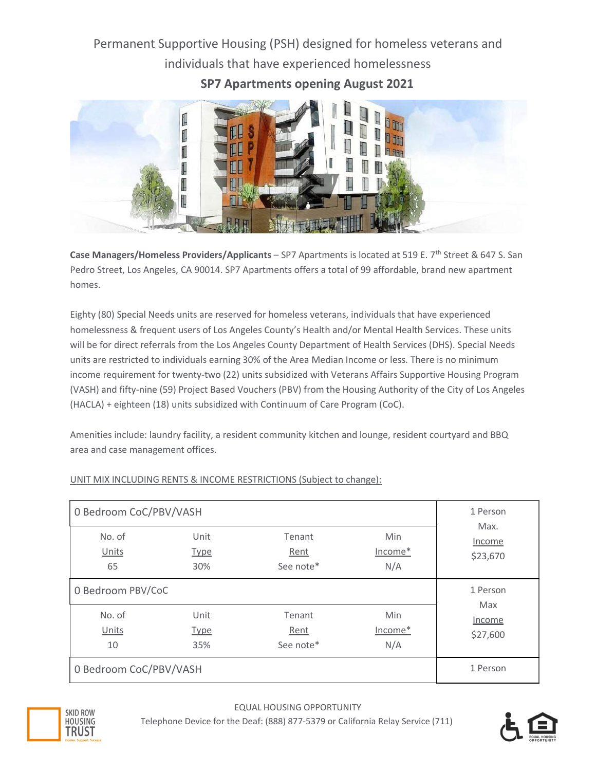# Permanent Supportive Housing (PSH) designed for homeless veterans and individuals that have experienced homelessness

**SP7 Apartments opening August 2021**



Case Managers/Homeless Providers/Applicants - SP7 Apartments is located at 519 E. 7<sup>th</sup> Street & 647 S. San Pedro Street, Los Angeles, CA 90014. SP7 Apartments offers a total of 99 affordable, brand new apartment homes.

Eighty (80) Special Needs units are reserved for homeless veterans, individuals that have experienced homelessness & frequent users of Los Angeles County's Health and/or Mental Health Services. These units will be for direct referrals from the Los Angeles County Department of Health Services (DHS). Special Needs units are restricted to individuals earning 30% of the Area Median Income or less. There is no minimum income requirement for twenty-two (22) units subsidized with Veterans Affairs Supportive Housing Program (VASH) and fifty‐nine (59) Project Based Vouchers (PBV) from the Housing Authority of the City of Los Angeles (HACLA) + eighteen (18) units subsidized with Continuum of Care Program (CoC).

Amenities include: laundry facility, a resident community kitchen and lounge, resident courtyard and BBQ area and case management offices.

| 0 Bedroom CoC/PBV/VASH | 1 Person                   |                             |                       |                            |
|------------------------|----------------------------|-----------------------------|-----------------------|----------------------------|
| No. of<br>Units<br>65  | Unit<br><b>Type</b><br>30% | Tenant<br>Rent<br>See note* | Min<br>Income*<br>N/A | Max.<br>Income<br>\$23,670 |
| 0 Bedroom PBV/CoC      | 1 Person                   |                             |                       |                            |
| No. of<br>Units<br>10  | Unit<br><u>Type</u><br>35% | Tenant<br>Rent<br>See note* | Min<br>Income*<br>N/A | Max<br>Income<br>\$27,600  |
| 0 Bedroom CoC/PBV/VASH | 1 Person                   |                             |                       |                            |

## UNIT MIX INCLUDING RENTS & INCOME RESTRICTIONS (Subject to change):



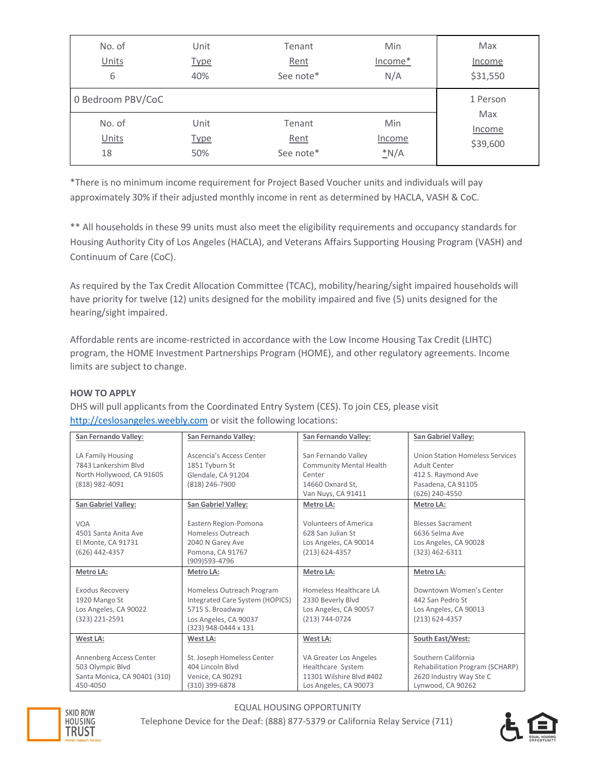| No. of            | Unit        | Tenant    | Min           | Max      |
|-------------------|-------------|-----------|---------------|----------|
| Units             | <b>Type</b> | Rent      | Income*       | Income   |
| 6                 | 40%         | See note* | N/A           | \$31,550 |
| 0 Bedroom PBV/CoC |             |           |               | 1 Person |
| No. of            | Unit        | Tenant    | Min           | Max      |
| Units             | <b>Type</b> | Rent      | <b>Income</b> | Income   |
| 18                | 50%         | See note* | N/A           | \$39,600 |

\*There is no minimum income requirement for Project Based Voucher units and individuals will pay approximately 30% if their adjusted monthly income in rent as determined by HACLA, VASH & CoC.

\*\* All households in these 99 units must also meet the eligibility requirements and occupancy standards for Housing Authority City of Los Angeles (HACLA), and Veterans Affairs Supporting Housing Program (VASH) and Continuum of Care (CoC).

As required by the Tax Credit Allocation Committee (TCAC), mobility/hearing/sight impaired households will have priority for twelve (12) units designed for the mobility impaired and five (5) units designed for the hearing/sight impaired.

Affordable rents are income‐restricted in accordance with the Low Income Housing Tax Credit (LIHTC) program, the HOME Investment Partnerships Program (HOME), and other regulatory agreements. Income limits are subject to change.

#### **HOW TO APPLY**

DHS will pull applicants from the Coordinated Entry System (CES). To join CES, please visit [http://ceslosangeles.weebly.com](http://ceslosangeles.weebly.com/) or visit the following locations:

| San Fernando Valley:                                                                                                   | San Fernando Valley:                                                                                                              | San Fernando Valley:                                                                                                   | San Gabriel Valley:                                                                                                               |
|------------------------------------------------------------------------------------------------------------------------|-----------------------------------------------------------------------------------------------------------------------------------|------------------------------------------------------------------------------------------------------------------------|-----------------------------------------------------------------------------------------------------------------------------------|
| LA Family Housing<br>7843 Lankershim Blvd<br>North Hollywood, CA 91605<br>(818) 982-4091<br><b>San Gabriel Valley:</b> | Ascencia's Access Center<br>1851 Tyburn St<br>Glendale, CA 91204<br>(818) 246-7900<br><b>San Gabriel Valley:</b>                  | San Fernando Valley<br><b>Community Mental Health</b><br>Center<br>14660 Oxnard St.<br>Van Nuys, CA 91411<br>Metro LA: | <b>Union Station Homeless Services</b><br>Adult Center<br>412 S. Raymond Ave<br>Pasadena, CA 91105<br>(626) 240-4550<br>Metro LA: |
|                                                                                                                        |                                                                                                                                   |                                                                                                                        |                                                                                                                                   |
| <b>VOA</b><br>4501 Santa Anita Ave<br>El Monte, CA 91731<br>(626) 442-4357                                             | Eastern Region-Pomona<br>Homeless Outreach<br>2040 N Garey Ave<br>Pomona, CA 91767<br>(909)593-4796                               | <b>Volunteers of America</b><br>628 San Julian St<br>Los Angeles, CA 90014<br>$(213) 624 - 4357$                       | <b>Blesses Sacrament</b><br>6636 Selma Ave<br>Los Angeles, CA 90028<br>$(323)$ 462-6311                                           |
| Metro LA:                                                                                                              | Metro LA:                                                                                                                         | Metro LA:                                                                                                              | Metro LA:                                                                                                                         |
| Exodus Recovery<br>1920 Mango St<br>Los Angeles, CA 90022<br>(323) 221-2591                                            | Homeless Outreach Program<br>Integrated Care System (HOPICS)<br>5715 S. Broadway<br>Los Angeles, CA 90037<br>(323) 948-0444 x 131 | Homeless Healthcare LA<br>2330 Beverly Blvd<br>Los Angeles, CA 90057<br>(213) 744-0724                                 | Downtown Women's Center<br>442 San Pedro St<br>Los Angeles, CA 90013<br>$(213) 624 - 4357$                                        |
| West LA:                                                                                                               | West LA:                                                                                                                          | West LA:                                                                                                               | South East/West:                                                                                                                  |
| Annenberg Access Center<br>503 Olympic Blvd<br>Santa Monica, CA 90401 (310)<br>450-4050                                | St. Joseph Homeless Center<br>404 Lincoln Blvd<br>Venice, CA 90291<br>(310) 399-6878                                              | VA Greater Los Angeles<br>Healthcare System<br>11301 Wilshire Blvd #402<br>Los Angeles, CA 90073                       | Southern California<br>Rehabilitation Program (SCHARP)<br>2620 Industry Way Ste C<br>Lynwood, CA 90262                            |



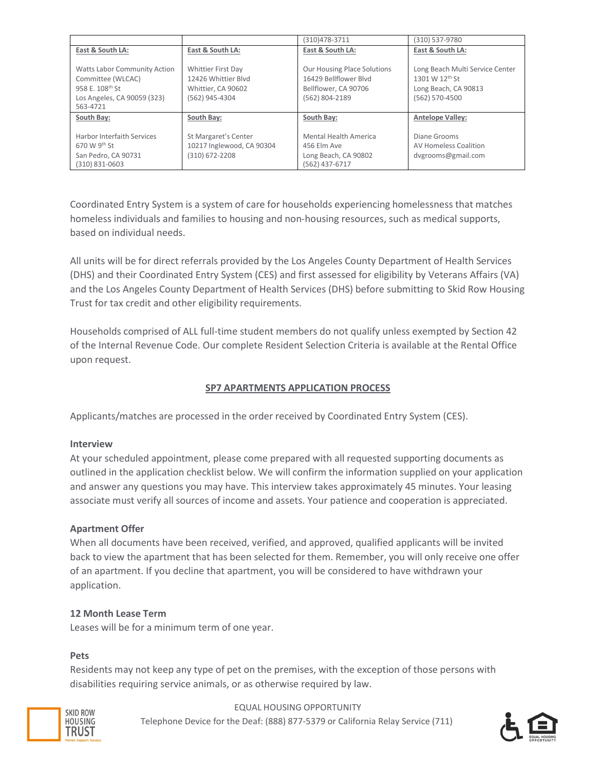|                                     |                           | (310) 478-3711                     | (310) 537-9780                  |
|-------------------------------------|---------------------------|------------------------------------|---------------------------------|
| East & South LA:                    | East & South LA:          | East & South LA:                   | East & South LA:                |
|                                     |                           |                                    |                                 |
| <b>Watts Labor Community Action</b> | Whittier First Day        | <b>Our Housing Place Solutions</b> | Long Beach Multi Service Center |
| Committee (WLCAC)                   | 12426 Whittier Blyd       | 16429 Bellflower Blyd              | 1301 W 12th St                  |
| 958 E. 108th St                     | Whittier, CA 90602        | Bellflower, CA 90706               | Long Beach, CA 90813            |
| Los Angeles, CA 90059 (323)         | (562) 945-4304            | (562) 804-2189                     | (562) 570-4500                  |
| 563-4721                            |                           |                                    |                                 |
| South Bay:                          | South Bay:                | South Bay:                         | <b>Antelope Valley:</b>         |
|                                     |                           |                                    |                                 |
| Harbor Interfaith Services          | St Margaret's Center      | Mental Health America              | Diane Grooms                    |
| 670 W 9th St                        | 10217 Inglewood, CA 90304 | 456 Elm Ave                        | <b>AV Homeless Coalition</b>    |
| San Pedro, CA 90731                 | (310) 672-2208            | Long Beach, CA 90802               | dvgrooms@gmail.com              |
| $(310)$ 831-0603                    |                           | (562) 437-6717                     |                                 |

Coordinated Entry System is a system of care for households experiencing homelessness that matches homeless individuals and families to housing and non-housing resources, such as medical supports, based on individual needs.

All units will be for direct referrals provided by the Los Angeles County Department of Health Services (DHS) and their Coordinated Entry System (CES) and first assessed for eligibility by Veterans Affairs (VA) and the Los Angeles County Department of Health Services (DHS) before submitting to Skid Row Housing Trust for tax credit and other eligibility requirements.

Households comprised of ALL full‐time student members do not qualify unless exempted by Section 42 of the Internal Revenue Code. Our complete Resident Selection Criteria is available at the Rental Office upon request.

## **SP7 APARTMENTS APPLICATION PROCESS**

Applicants/matches are processed in the order received by Coordinated Entry System (CES).

## **Interview**

At your scheduled appointment, please come prepared with all requested supporting documents as outlined in the application checklist below. We will confirm the information supplied on your application and answer any questions you may have. This interview takes approximately 45 minutes. Your leasing associate must verify all sources of income and assets. Your patience and cooperation is appreciated.

## **Apartment Offer**

When all documents have been received, verified, and approved, qualified applicants will be invited back to view the apartment that has been selected for them. Remember, you will only receive one offer of an apartment. If you decline that apartment, you will be considered to have withdrawn your application.

## **12 Month Lease Term**

Leases will be for a minimum term of one year.

## **Pets**

Residents may not keep any type of pet on the premises, with the exception of those persons with disabilities requiring service animals, or as otherwise required by law.



EQUAL HOUSING OPPORTUNITY Telephone Device for the Deaf: (888) 877‐5379 or California Relay Service (711)